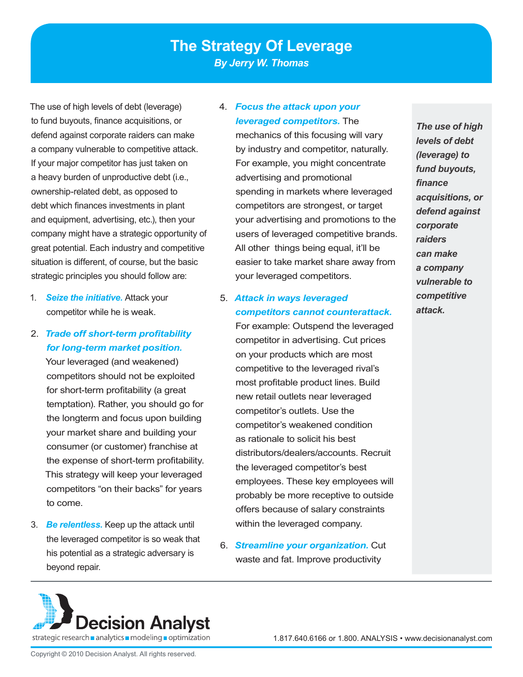# **The Strategy Of Leverage** *By Jerry W. Thomas*

The use of high levels of debt (leverage) to fund buyouts, finance acquisitions, or defend against corporate raiders can make a company vulnerable to competitive attack. If your major competitor has just taken on a heavy burden of unproductive debt (i.e., ownership-related debt, as opposed to debt which finances investments in plant and equipment, advertising, etc.), then your company might have a strategic opportunity of great potential. Each industry and competitive situation is different, of course, but the basic strategic principles you should follow are:

- 1. *Seize the initiative.* Attack your competitor while he is weak.
- 2. *Trade off short-term profitability for long-term market position.*

Your leveraged (and weakened) competitors should not be exploited for short-term profitability (a great temptation). Rather, you should go for the longterm and focus upon building your market share and building your consumer (or customer) franchise at the expense of short-term profitability. This strategy will keep your leveraged competitors "on their backs" for years to come.

3. *Be relentless.* Keep up the attack until the leveraged competitor is so weak that his potential as a strategic adversary is beyond repair.

#### 4. *Focus the attack upon your leveraged competitors.* The

mechanics of this focusing will vary by industry and competitor, naturally. For example, you might concentrate advertising and promotional spending in markets where leveraged competitors are strongest, or target your advertising and promotions to the users of leveraged competitive brands. All other things being equal, it'll be easier to take market share away from your leveraged competitors.

## 5. *Attack in ways leveraged competitors cannot counterattack.*

For example: Outspend the leveraged competitor in advertising. Cut prices on your products which are most competitive to the leveraged rival's most profitable product lines. Build new retail outlets near leveraged competitor's outlets. Use the competitor's weakened condition as rationale to solicit his best distributors/dealers/accounts. Recruit the leveraged competitor's best employees. These key employees will probably be more receptive to outside offers because of salary constraints within the leveraged company.

6. *Streamline your organization.* Cut waste and fat. Improve productivity

*The use of high levels of debt (leverage) to fund buyouts, finance acquisitions, or defend against corporate raiders can make a company vulnerable to competitive attack.*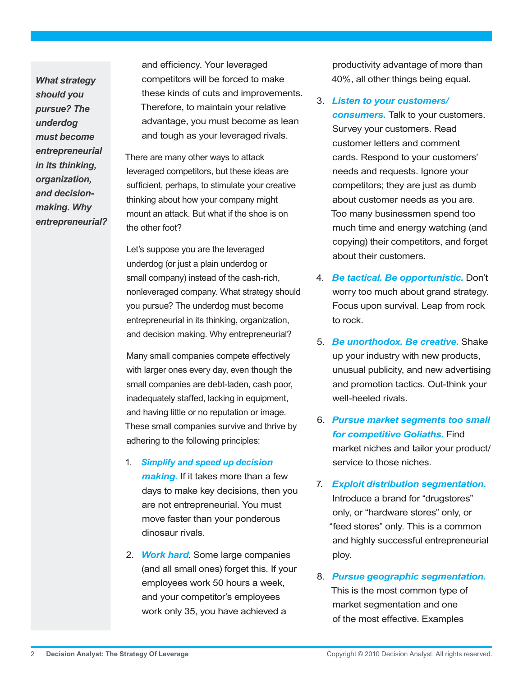*What strategy should you pursue? The underdog must become entrepreneurial in its thinking, organization, and decisionmaking. Why entrepreneurial?* 

and efficiency. Your leveraged competitors will be forced to make these kinds of cuts and improvements. Therefore, to maintain your relative advantage, you must become as lean and tough as your leveraged rivals.

There are many other ways to attack leveraged competitors, but these ideas are sufficient, perhaps, to stimulate your creative thinking about how your company might mount an attack. But what if the shoe is on the other foot?

Let's suppose you are the leveraged underdog (or just a plain underdog or small company) instead of the cash-rich, nonleveraged company. What strategy should you pursue? The underdog must become entrepreneurial in its thinking, organization, and decision making. Why entrepreneurial?

Many small companies compete effectively with larger ones every day, even though the small companies are debt-laden, cash poor, inadequately staffed, lacking in equipment, and having little or no reputation or image. These small companies survive and thrive by adhering to the following principles:

- 1. *Simplify and speed up decision making.* If it takes more than a few days to make key decisions, then you are not entrepreneurial. You must move faster than your ponderous dinosaur rivals.
- 2. *Work hard*. Some large companies (and all small ones) forget this. If your employees work 50 hours a week, and your competitor's employees work only 35, you have achieved a

productivity advantage of more than 40%, all other things being equal.

- 3. *Listen to your customers/ consumers.* Talk to your customers. Survey your customers. Read customer letters and comment cards. Respond to your customers' needs and requests. Ignore your competitors; they are just as dumb about customer needs as you are. Too many businessmen spend too much time and energy watching (and copying) their competitors, and forget about their customers.
- 4. *Be tactical. Be opportunistic.* Don't worry too much about grand strategy. Focus upon survival. Leap from rock to rock.
- 5. *Be unorthodox. Be creative.* Shake up your industry with new products, unusual publicity, and new advertising and promotion tactics. Out-think your well-heeled rivals.
- 6. *Pursue market segments too small for competitive Goliaths.* Find market niches and tailor your product/ service to those niches.
- 7. *Exploit distribution segmentation.*  Introduce a brand for "drugstores" only, or "hardware stores" only, or "feed stores" only. This is a common and highly successful entrepreneurial ploy.
- 8. *Pursue geographic segmentation.*

This is the most common type of market segmentation and one of the most effective. Examples